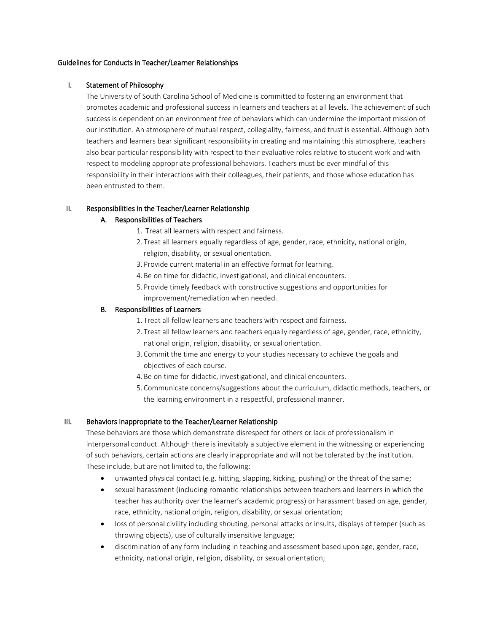### Guidelines for Conducts in Teacher/Learner Relationships

### I. Statement of Philosophy

The University of South Carolina School of Medicine is committed to fostering an environment that promotes academic and professional success in learners and teachers at all levels. The achievement of such success is dependent on an environment free of behaviors which can undermine the important mission of our institution. An atmosphere of mutual respect, collegiality, fairness, and trust is essential. Although both teachers and learners bear significant responsibility in creating and maintaining this atmosphere, teachers also bear particular responsibility with respect to their evaluative roles relative to student work and with respect to modeling appropriate professional behaviors. Teachers must be ever mindful of this responsibility in their interactions with their colleagues, their patients, and those whose education has been entrusted to them.

#### II. Responsibilities in the Teacher/Learner Relationship

### A. Responsibilities of Teachers

- 1. Treat all learners with respect and fairness.
- 2. Treat all learners equally regardless of age, gender, race, ethnicity, national origin, religion, disability, or sexual orientation.
- 3. Provide current material in an effective format for learning.
- 4. Be on time for didactic, investigational, and clinical encounters.
- 5. Provide timely feedback with constructive suggestions and opportunities for improvement/remediation when needed.

### B. Responsibilities of Learners

- 1. Treat all fellow learners and teachers with respect and fairness.
- 2. Treat all fellow learners and teachers equally regardless of age, gender, race, ethnicity, national origin, religion, disability, or sexual orientation.
- 3. Commit the time and energy to your studies necessary to achieve the goals and objectives of each course.
- 4. Be on time for didactic, investigational, and clinical encounters.
- 5. Communicate concerns/suggestions about the curriculum, didactic methods, teachers, or the learning environment in a respectful, professional manner.

# III. Behaviors Inappropriate to the Teacher/Learner Relationship

These behaviors are those which demonstrate disrespect for others or lack of professionalism in interpersonal conduct. Although there is inevitably a subjective element in the witnessing or experiencing of such behaviors, certain actions are clearly inappropriate and will not be tolerated by the institution. These include, but are not limited to, the following:

- unwanted physical contact (e.g. hitting, slapping, kicking, pushing) or the threat of the same;
- sexual harassment (including romantic relationships between teachers and learners in which the teacher has authority over the learner's academic progress) or harassment based on age, gender, race, ethnicity, national origin, religion, disability, or sexual orientation;
- loss of personal civility including shouting, personal attacks or insults, displays of temper (such as throwing objects), use of culturally insensitive language;
- discrimination of any form including in teaching and assessment based upon age, gender, race, ethnicity, national origin, religion, disability, or sexual orientation;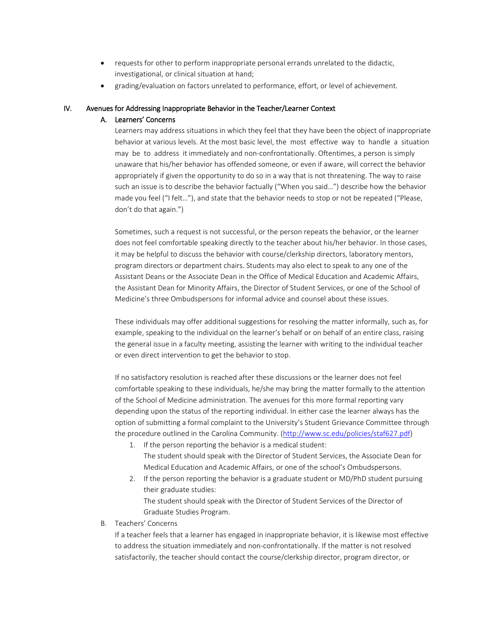- requests for other to perform inappropriate personal errands unrelated to the didactic, investigational, or clinical situation at hand;
- grading/evaluation on factors unrelated to performance, effort, or level of achievement.

### IV. Avenues for Addressing Inappropriate Behavior in the Teacher/Learner Context

# A. Learners' Concerns

Learners may address situations in which they feel that they have been the object of inappropriate behavior at various levels. At the most basic level, the most effective way to handle a situation may be to address it immediately and non-confrontationally. Oftentimes, a person is simply unaware that his/her behavior has offended someone, or even if aware, will correct the behavior appropriately if given the opportunity to do so in a way that is not threatening. The way to raise such an issue is to describe the behavior factually ("When you said…") describe how the behavior made you feel ("I felt…"), and state that the behavior needs to stop or not be repeated ("Please, don't do that again.")

Sometimes, such a request is not successful, or the person repeats the behavior, or the learner does not feel comfortable speaking directly to the teacher about his/her behavior. In those cases, it may be helpful to discuss the behavior with course/clerkship directors, laboratory mentors, program directors or department chairs. Students may also elect to speak to any one of the Assistant Deans or the Associate Dean in the Office of Medical Education and Academic Affairs, the Assistant Dean for Minority Affairs, the Director of Student Services, or one of the School of Medicine's three Ombudspersons for informal advice and counsel about these issues.

These individuals may offer additional suggestions for resolving the matter informally, such as, for example, speaking to the individual on the learner's behalf or on behalf of an entire class, raising the general issue in a faculty meeting, assisting the learner with writing to the individual teacher or even direct intervention to get the behavior to stop.

If no satisfactory resolution is reached after these discussions or the learner does not feel comfortable speaking to these individuals, he/she may bring the matter formally to the attention of the School of Medicine administration. The avenues for this more formal reporting vary depending upon the status of the reporting individual. In either case the learner always has the option of submitting a formal complaint to the University's Student Grievance Committee through the procedure outlined in the Carolina Community. [\(http://www.sc.edu/policies/staf627.pdf\)](http://www.sc.edu/policies/staf627.pdf)

- 1. If the person reporting the behavior is a medical student: The student should speak with the Director of Student Services, the Associate Dean for Medical Education and Academic Affairs, or one of the school's Ombudspersons.
- 2. If the person reporting the behavior is a graduate student or MD/PhD student pursuing their graduate studies:

The student should speak with the Director of Student Services of the Director of Graduate Studies Program.

B. Teachers' Concerns

If a teacher feels that a learner has engaged in inappropriate behavior, it is likewise most effective to address the situation immediately and non-confrontationally. If the matter is not resolved satisfactorily, the teacher should contact the course/clerkship director, program director, or